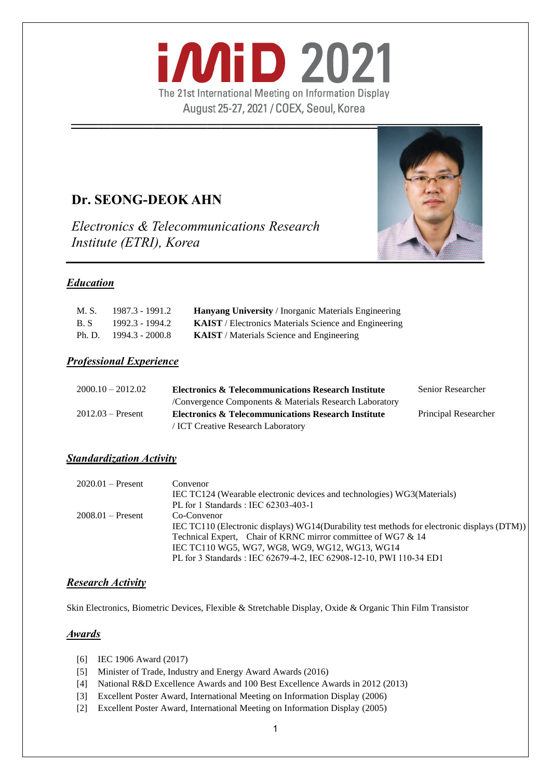# **iMiD 2021** The 21st International Meeting on Information Display August 25-27, 2021 / COEX, Seoul, Korea

# **Dr. SEONG-DEOK AHN**

*Electronics & Telecommunications Research Institute (ETRI), Korea*



## *Education*

| M. S.  | 1987.3 - 1991.2   | <b>Hanyang University</b> / Inorganic Materials Engineering  |
|--------|-------------------|--------------------------------------------------------------|
| B.S    | 1992.3 - 1994.2   | <b>KAIST</b> / Electronics Materials Science and Engineering |
| Ph. D. | $1994.3 - 2000.8$ | <b>KAIST</b> / Materials Science and Engineering             |

## *Professional Experience*

| $2000.10 - 2012.02$ | <b>Electronics &amp; Telecommunications Research Institute</b> | Senior Researcher    |
|---------------------|----------------------------------------------------------------|----------------------|
|                     | /Convergence Components & Materials Research Laboratory        |                      |
| $2012.03 -$ Present | <b>Electronics &amp; Telecommunications Research Institute</b> | Principal Researcher |
|                     | / ICT Creative Research Laboratory                             |                      |

## *Standardization Activity*

| $2020.01 -$ Present | Convenor                                                                                    |
|---------------------|---------------------------------------------------------------------------------------------|
|                     | IEC TC124 (Wearable electronic devices and technologies) WG3 (Materials)                    |
|                     | PL for 1 Standards : IEC 62303-403-1                                                        |
| $2008.01 -$ Present | Co-Convenor                                                                                 |
|                     | IEC TC110 (Electronic displays) WG14(Durability test methods for electronic displays (DTM)) |
|                     | Technical Expert, Chair of KRNC mirror committee of WG7 & 14                                |
|                     | IEC TC110 WG5, WG7, WG8, WG9, WG12, WG13, WG14                                              |
|                     | PL for 3 Standards : IEC 62679-4-2, IEC 62908-12-10, PWI 110-34 ED1                         |

## *Research Activity*

Skin Electronics, Biometric Devices, Flexible & Stretchable Display, Oxide & Organic Thin Film Transistor

## *Awards*

- [6] IEC 1906 Award (2017)
- [5] Minister of Trade, Industry and Energy Award Awards (2016)
- [4] National R&D Excellence Awards and 100 Best Excellence Awards in 2012 (2013)
- [3] Excellent Poster Award, International Meeting on Information Display (2006)
- [2] Excellent Poster Award, International Meeting on Information Display (2005)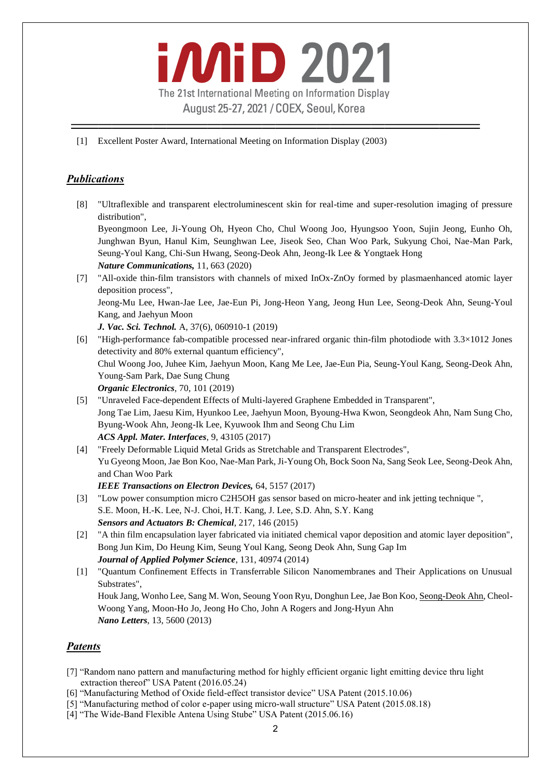

〓〓〓〓〓〓〓〓〓〓〓〓〓〓〓〓〓〓〓〓〓〓〓〓〓〓〓〓〓〓

[1] Excellent Poster Award, International Meeting on Information Display (2003)

#### *Publications*

[8] "Ultraflexible and transparent electroluminescent skin for real-time and super-resolution imaging of pressure distribution",

Byeongmoon Lee, Ji-Young Oh, Hyeon Cho, Chul Woong Joo, Hyungsoo Yoon, Sujin Jeong, Eunho Oh, Junghwan Byun, Hanul Kim, Seunghwan Lee, Jiseok Seo, Chan Woo Park, Sukyung Choi, Nae-Man Park, Seung-Youl Kang, Chi-Sun Hwang, Seong-Deok Ahn, Jeong-Ik Lee & Yongtaek Hong *Nature Communications,* 11, 663 (2020)

[7] "All-oxide thin-film transistors with channels of mixed InOx-ZnOy formed by plasmaenhanced atomic layer deposition process", Jeong-Mu Lee, Hwan-Jae Lee, Jae-Eun Pi, Jong-Heon Yang, Jeong Hun Lee, Seong-Deok Ahn, Seung-Youl Kang, and Jaehyun Moon

*J. Vac. Sci. Technol.* A, 37(6), 060910-1 (2019)

- [6] "High-performance fab-compatible processed near-infrared organic thin-film photodiode with 3.3×1012 Jones detectivity and 80% external quantum efficiency", Chul Woong Joo, Juhee Kim, Jaehyun Moon, Kang Me Lee, Jae-Eun Pia, Seung-Youl Kang, Seong-Deok Ahn, Young-Sam Park, Dae Sung Chung *Organic Electronics*, 70, 101 (2019)
- [5] "Unraveled Face-dependent Effects of Multi-layered Graphene Embedded in Transparent", Jong Tae Lim, Jaesu Kim, Hyunkoo Lee, Jaehyun Moon, Byoung-Hwa Kwon, Seongdeok Ahn, Nam Sung Cho, Byung-Wook Ahn, Jeong-Ik Lee, Kyuwook Ihm and Seong Chu Lim *ACS Appl. Mater. Interfaces*, 9, 43105 (2017)
- [4] "Freely Deformable Liquid Metal Grids as Stretchable and Transparent Electrodes", Yu Gyeong Moon, Jae Bon Koo, Nae-Man Park, Ji-Young Oh, Bock Soon Na, Sang Seok Lee, Seong-Deok Ahn, and Chan Woo Park

*IEEE Transactions on Electron Devices,* 64, 5157 (2017)

- [3] "Low power consumption micro C2H5OH gas sensor based on micro-heater and ink jetting technique ", S.E. Moon, H.-K. Lee, N-J. Choi, H.T. Kang, J. Lee, S.D. Ahn, S.Y. Kang *Sensors and Actuators B: Chemical*, 217, 146 (2015)
- [2] "A thin film encapsulation layer fabricated via initiated chemical vapor deposition and atomic layer deposition", Bong Jun Kim, Do Heung Kim, Seung Youl Kang, Seong Deok Ahn, Sung Gap Im *Journal of Applied Polymer Science*, 131, 40974 (2014)
- [1] "Quantum Confinement Effects in Transferrable Silicon Nanomembranes and Their Applications on Unusual Substrates",

Houk Jang, Wonho Lee, Sang M. Won, Seoung Yoon Ryu, Donghun Lee, Jae Bon Koo, Seong-Deok Ahn, Cheol-Woong Yang, Moon-Ho Jo, Jeong Ho Cho, John A Rogers and Jong-Hyun Ahn *Nano Letters*, 13, 5600 (2013)

#### *Patents*

- [7] "Random nano pattern and manufacturing method for highly efficient organic light emitting device thru light extraction thereof" USA Patent (2016.05.24)
- [6] "Manufacturing Method of Oxide field-effect transistor device" USA Patent (2015.10.06)
- [5] "Manufacturing method of color e-paper using micro-wall structure" USA Patent (2015.08.18)
- [4] "The Wide-Band Flexible Antena Using Stube" USA Patent (2015.06.16)